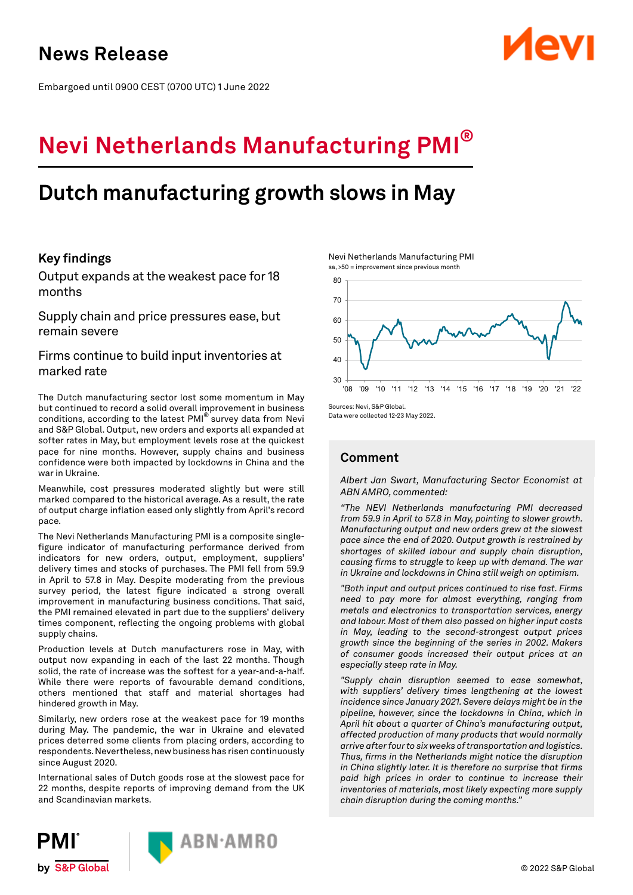Embargoed until 0900 CEST (0700 UTC) 1 June 2022

# **Nevi Netherlands Manufacturing PMI®**

## **Dutch manufacturing growth slows in May**

## **Key findings**

Output expands at the weakest pace for 18 months

Supply chain and price pressures ease, but remain severe

## Firms continue to build input inventories at marked rate

The Dutch manufacturing sector lost some momentum in May but continued to record a solid overall improvement in business conditions, according to the latest PMI® survey data from Nevi and S&P Global. Output, new orders and exports all expanded at softer rates in May, but employment levels rose at the quickest pace for nine months. However, supply chains and business confidence were both impacted by lockdowns in China and the war in Ukraine.

Meanwhile, cost pressures moderated slightly but were still marked compared to the historical average. As a result, the rate of output charge inflation eased only slightly from April's record pace.

The Nevi Netherlands Manufacturing PMI is a composite singlefigure indicator of manufacturing performance derived from indicators for new orders, output, employment, suppliers' delivery times and stocks of purchases. The PMI fell from 59.9 in April to 57.8 in May. Despite moderating from the previous survey period, the latest figure indicated a strong overall improvement in manufacturing business conditions. That said, the PMI remained elevated in part due to the suppliers' delivery times component, reflecting the ongoing problems with global supply chains.

Production levels at Dutch manufacturers rose in May, with output now expanding in each of the last 22 months. Though solid, the rate of increase was the softest for a year-and-a-half. While there were reports of favourable demand conditions, others mentioned that staff and material shortages had hindered growth in May.

Similarly, new orders rose at the weakest pace for 19 months during May. The pandemic, the war in Ukraine and elevated prices deterred some clients from placing orders, according to respondents. Nevertheless, new business has risen continuously since August 2020.

International sales of Dutch goods rose at the slowest pace for 22 months, despite reports of improving demand from the UK and Scandinavian markets.





Nevi Netherlands Manufacturing PMI sa, >50 = improvement since previous month



Sources: Nevi, S&P Global. Data were collected 12-23 May 2022.

## **Comment**

*Albert Jan Swart, Manufacturing Sector Economist at ABN AMRO, commented:* 

*"The NEVI Netherlands manufacturing PMI decreased from 59.9 in April to 57.8 in May, pointing to slower growth. Manufacturing output and new orders grew at the slowest pace since the end of 2020. Output growth is restrained by shortages of skilled labour and supply chain disruption, causing firms to struggle to keep up with demand. The war in Ukraine and lockdowns in China still weigh on optimism.*

*"Both input and output prices continued to rise fast. Firms need to pay more for almost everything, ranging from metals and electronics to transportation services, energy and labour. Most of them also passed on higher input costs in May, leading to the second-strongest output prices growth since the beginning of the series in 2002. Makers of consumer goods increased their output prices at an especially steep rate in May.* 

*"Supply chain disruption seemed to ease somewhat, with suppliers' delivery times lengthening at the lowest incidence since January 2021. Severe delays might be in the pipeline, however, since the lockdowns in China, which in April hit about a quarter of China's manufacturing output, affected production of many products that would normally arrive after four to six weeks of transportation and logistics. Thus, firms in the Netherlands might notice the disruption in China slightly later. It is therefore no surprise that firms paid high prices in order to continue to increase their inventories of materials, most likely expecting more supply chain disruption during the coming months."*